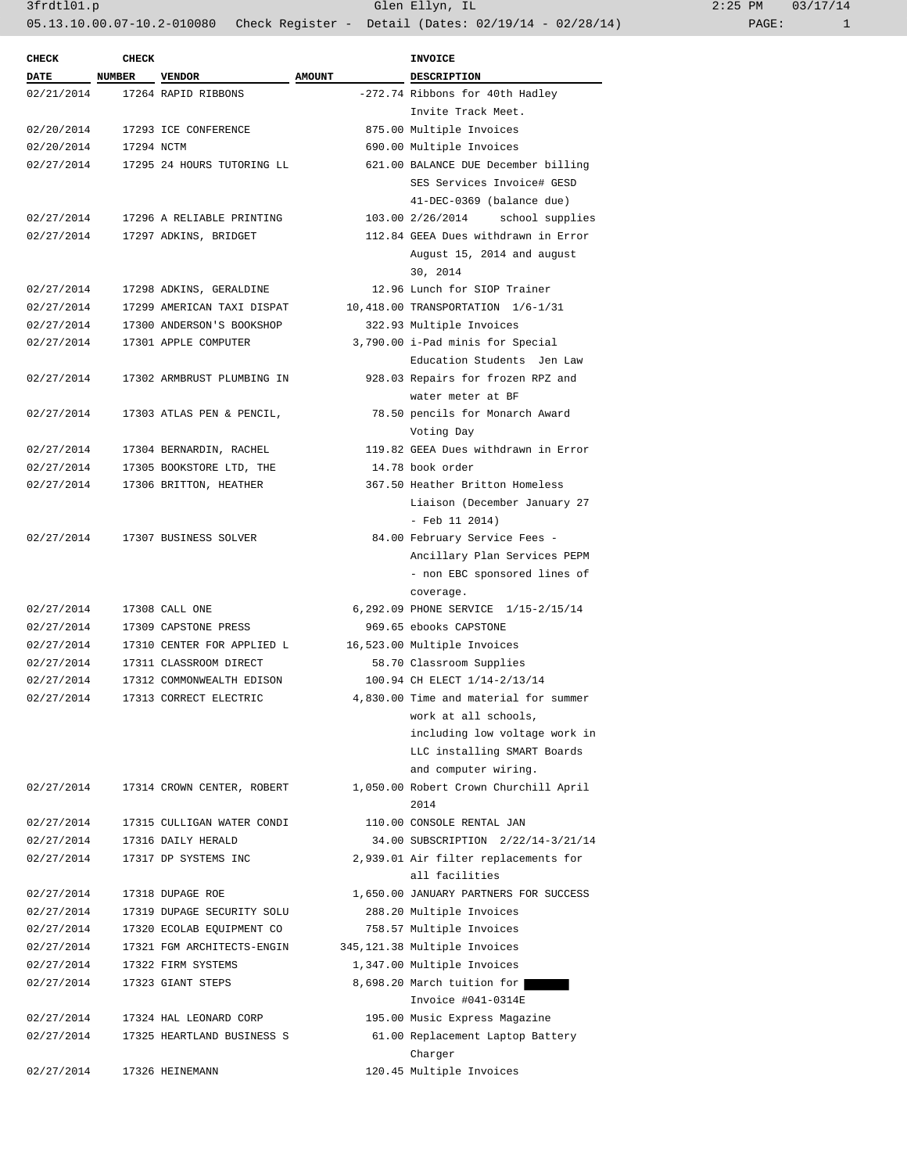| 2:25 PM |       | 03/17/14 |
|---------|-------|----------|
|         | PAGE: |          |

| <b>CHECK</b> | <b>CHECK</b>  |                            |               | <b>INVOICE</b>                        |
|--------------|---------------|----------------------------|---------------|---------------------------------------|
| <b>DATE</b>  | NUMBER VENDOR |                            | <b>AMOUNT</b> | <b>DESCRIPTION</b>                    |
| 02/21/2014   |               | 17264 RAPID RIBBONS        |               | -272.74 Ribbons for 40th Hadley       |
|              |               |                            |               | Invite Track Meet.                    |
| 02/20/2014   |               | 17293 ICE CONFERENCE       |               | 875.00 Multiple Invoices              |
| 02/20/2014   | 17294 NCTM    |                            |               | 690.00 Multiple Invoices              |
| 02/27/2014   |               | 17295 24 HOURS TUTORING LL |               | 621.00 BALANCE DUE December billing   |
|              |               |                            |               | SES Services Invoice# GESD            |
|              |               |                            |               | 41-DEC-0369 (balance due)             |
| 02/27/2014   |               | 17296 A RELIABLE PRINTING  |               | 103.00 2/26/2014 school supplies      |
| 02/27/2014   |               | 17297 ADKINS, BRIDGET      |               | 112.84 GEEA Dues withdrawn in Error   |
|              |               |                            |               | August 15, 2014 and august            |
|              |               |                            |               | 30, 2014                              |
| 02/27/2014   |               | 17298 ADKINS, GERALDINE    |               | 12.96 Lunch for SIOP Trainer          |
| 02/27/2014   |               | 17299 AMERICAN TAXI DISPAT |               | 10,418.00 TRANSPORTATION 1/6-1/31     |
| 02/27/2014   |               | 17300 ANDERSON'S BOOKSHOP  |               | 322.93 Multiple Invoices              |
| 02/27/2014   |               | 17301 APPLE COMPUTER       |               | 3,790.00 i-Pad minis for Special      |
|              |               |                            |               | Education Students Jen Law            |
| 02/27/2014   |               | 17302 ARMBRUST PLUMBING IN |               | 928.03 Repairs for frozen RPZ and     |
|              |               |                            |               | water meter at BF                     |
| 02/27/2014   |               | 17303 ATLAS PEN & PENCIL,  |               | 78.50 pencils for Monarch Award       |
|              |               |                            |               | Voting Day                            |
| 02/27/2014   |               | 17304 BERNARDIN, RACHEL    |               | 119.82 GEEA Dues withdrawn in Error   |
| 02/27/2014   |               | 17305 BOOKSTORE LTD, THE   |               | 14.78 book order                      |
| 02/27/2014   |               |                            |               | 367.50 Heather Britton Homeless       |
|              |               | 17306 BRITTON, HEATHER     |               |                                       |
|              |               |                            |               | Liaison (December January 27          |
|              |               |                            |               | $-$ Feb 11 2014)                      |
| 02/27/2014   |               | 17307 BUSINESS SOLVER      |               | 84.00 February Service Fees -         |
|              |               |                            |               | Ancillary Plan Services PEPM          |
|              |               |                            |               | - non EBC sponsored lines of          |
|              |               |                            |               | coverage.                             |
| 02/27/2014   |               | 17308 CALL ONE             |               | 6,292.09 PHONE SERVICE 1/15-2/15/14   |
| 02/27/2014   |               | 17309 CAPSTONE PRESS       |               | 969.65 ebooks CAPSTONE                |
| 02/27/2014   |               | 17310 CENTER FOR APPLIED L |               | 16,523.00 Multiple Invoices           |
| 02/27/2014   |               | 17311 CLASSROOM DIRECT     |               | 58.70 Classroom Supplies              |
| 02/27/2014   |               | 17312 COMMONWEALTH EDISON  |               | 100.94 CH ELECT 1/14-2/13/14          |
| 02/27/2014   |               | 17313 CORRECT ELECTRIC     |               | 4,830.00 Time and material for summer |
|              |               |                            |               | work at all schools,                  |
|              |               |                            |               | including low voltage work in         |
|              |               |                            |               | LLC installing SMART Boards           |
|              |               |                            |               | and computer wiring.                  |
| 02/27/2014   |               | 17314 CROWN CENTER, ROBERT |               | 1,050.00 Robert Crown Churchill April |
|              |               |                            |               | 2014                                  |
| 02/27/2014   |               | 17315 CULLIGAN WATER CONDI |               | 110.00 CONSOLE RENTAL JAN             |
| 02/27/2014   |               | 17316 DAILY HERALD         |               | 34.00 SUBSCRIPTION 2/22/14-3/21/14    |
| 02/27/2014   |               | 17317 DP SYSTEMS INC       |               | 2,939.01 Air filter replacements for  |
|              |               |                            |               | all facilities                        |
| 02/27/2014   |               | 17318 DUPAGE ROE           |               | 1,650.00 JANUARY PARTNERS FOR SUCCESS |
| 02/27/2014   |               | 17319 DUPAGE SECURITY SOLU |               | 288.20 Multiple Invoices              |
| 02/27/2014   |               | 17320 ECOLAB EQUIPMENT CO  |               | 758.57 Multiple Invoices              |
| 02/27/2014   |               | 17321 FGM ARCHITECTS-ENGIN |               | 345, 121.38 Multiple Invoices         |
| 02/27/2014   |               | 17322 FIRM SYSTEMS         |               | 1,347.00 Multiple Invoices            |
| 02/27/2014   |               | 17323 GIANT STEPS          |               | 8,698.20 March tuition for            |
|              |               |                            |               | Invoice #041-0314E                    |
| 02/27/2014   |               | 17324 HAL LEONARD CORP     |               | 195.00 Music Express Magazine         |
| 02/27/2014   |               | 17325 HEARTLAND BUSINESS S |               | 61.00 Replacement Laptop Battery      |
|              |               |                            |               | Charger                               |
| 02/27/2014   |               | 17326 HEINEMANN            |               | 120.45 Multiple Invoices              |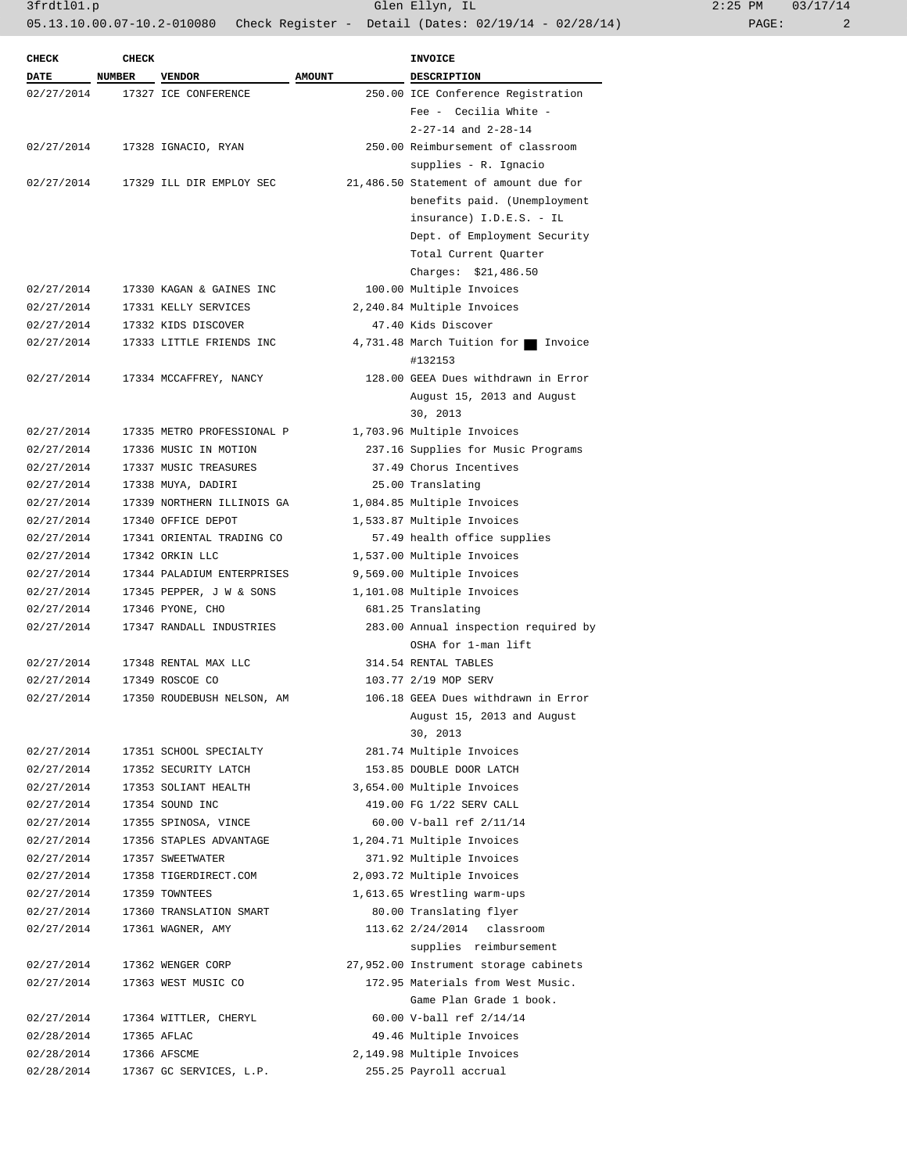3frdtl01.p Glen Ellyn, IL 2:25 PM 03/17/14

05.13.10.00.07-10.2-010080 Check Register - Detail (Dates: 02/19/14 - 02/28/14) PAGE: 2

| 2:25 PM |       | 03/17/14 |
|---------|-------|----------|
|         | PAGE: |          |

| <b>CHECK</b><br><b>DATE</b> | <b>CHECK</b><br><b>NUMBER</b> | <b>VENDOR</b>              | <b>AMOUNT</b>         | INVOICE<br><b>DESCRIPTION</b>         |  |
|-----------------------------|-------------------------------|----------------------------|-----------------------|---------------------------------------|--|
| 02/27/2014                  |                               | 17327 ICE CONFERENCE       |                       | 250.00 ICE Conference Registration    |  |
|                             |                               |                            | Fee - Cecilia White - |                                       |  |
|                             |                               |                            |                       | $2 - 27 - 14$ and $2 - 28 - 14$       |  |
| 02/27/2014                  |                               | 17328 IGNACIO, RYAN        |                       | 250.00 Reimbursement of classroom     |  |
|                             |                               |                            |                       | supplies - R. Ignacio                 |  |
| 02/27/2014                  |                               | 17329 ILL DIR EMPLOY SEC   |                       | 21,486.50 Statement of amount due for |  |
|                             |                               |                            |                       | benefits paid. (Unemployment          |  |
|                             |                               |                            |                       |                                       |  |
|                             |                               |                            |                       | insurance) I.D.E.S. - IL              |  |
|                             |                               |                            |                       | Dept. of Employment Security          |  |
|                             |                               |                            |                       | Total Current Quarter                 |  |
|                             |                               |                            |                       | Charges: \$21,486.50                  |  |
| 02/27/2014                  |                               | 17330 KAGAN & GAINES INC   |                       | 100.00 Multiple Invoices              |  |
| 02/27/2014                  |                               | 17331 KELLY SERVICES       |                       | 2,240.84 Multiple Invoices            |  |
| 02/27/2014                  |                               | 17332 KIDS DISCOVER        |                       | 47.40 Kids Discover                   |  |
| 02/27/2014                  |                               | 17333 LITTLE FRIENDS INC   |                       | 4,731.48 March Tuition for Invoice    |  |
|                             |                               |                            |                       | #132153                               |  |
| 02/27/2014                  |                               | 17334 MCCAFFREY, NANCY     |                       | 128.00 GEEA Dues withdrawn in Error   |  |
|                             |                               |                            |                       | August 15, 2013 and August            |  |
|                             |                               |                            |                       | 30, 2013                              |  |
| 02/27/2014                  |                               | 17335 METRO PROFESSIONAL P |                       | 1,703.96 Multiple Invoices            |  |
| 02/27/2014                  |                               | 17336 MUSIC IN MOTION      |                       | 237.16 Supplies for Music Programs    |  |
| 02/27/2014                  |                               | 17337 MUSIC TREASURES      |                       | 37.49 Chorus Incentives               |  |
| 02/27/2014                  |                               | 17338 MUYA, DADIRI         |                       | 25.00 Translating                     |  |
| 02/27/2014                  |                               | 17339 NORTHERN ILLINOIS GA |                       | 1,084.85 Multiple Invoices            |  |
| 02/27/2014                  |                               | 17340 OFFICE DEPOT         |                       | 1,533.87 Multiple Invoices            |  |
| 02/27/2014                  |                               | 17341 ORIENTAL TRADING CO  |                       | 57.49 health office supplies          |  |
| 02/27/2014                  |                               | 17342 ORKIN LLC            |                       | 1,537.00 Multiple Invoices            |  |
| 02/27/2014                  |                               | 17344 PALADIUM ENTERPRISES |                       | 9,569.00 Multiple Invoices            |  |
| 02/27/2014                  |                               | 17345 PEPPER, J W & SONS   |                       | 1,101.08 Multiple Invoices            |  |
| 02/27/2014                  |                               | 17346 PYONE, CHO           | 681.25 Translating    |                                       |  |
| 02/27/2014                  |                               | 17347 RANDALL INDUSTRIES   |                       | 283.00 Annual inspection required by  |  |
|                             |                               |                            |                       | OSHA for 1-man lift                   |  |
| 02/27/2014                  |                               | 17348 RENTAL MAX LLC       |                       | 314.54 RENTAL TABLES                  |  |
| 02/27/2014                  |                               | 17349 ROSCOE CO            |                       | 103.77 2/19 MOP SERV                  |  |
| 02/27/2014                  |                               | 17350 ROUDEBUSH NELSON, AM |                       | 106.18 GEEA Dues withdrawn in Error   |  |
|                             |                               |                            |                       | August 15, 2013 and August            |  |
|                             |                               |                            |                       | 30, 2013                              |  |
| 02/27/2014                  |                               | 17351 SCHOOL SPECIALTY     |                       | 281.74 Multiple Invoices              |  |
| 02/27/2014                  |                               | 17352 SECURITY LATCH       |                       | 153.85 DOUBLE DOOR LATCH              |  |
| 02/27/2014                  |                               | 17353 SOLIANT HEALTH       |                       | 3,654.00 Multiple Invoices            |  |
| 02/27/2014                  |                               | 17354 SOUND INC            |                       | 419.00 FG 1/22 SERV CALL              |  |
| 02/27/2014                  |                               | 17355 SPINOSA, VINCE       |                       | 60.00 V-ball ref 2/11/14              |  |
| 02/27/2014                  |                               | 17356 STAPLES ADVANTAGE    |                       | 1,204.71 Multiple Invoices            |  |
| 02/27/2014                  |                               | 17357 SWEETWATER           |                       | 371.92 Multiple Invoices              |  |
| 02/27/2014                  |                               | 17358 TIGERDIRECT.COM      |                       | 2,093.72 Multiple Invoices            |  |
| 02/27/2014                  |                               | 17359 TOWNTEES             |                       | 1,613.65 Wrestling warm-ups           |  |
| 02/27/2014                  |                               | 17360 TRANSLATION SMART    |                       | 80.00 Translating flyer               |  |
| 02/27/2014                  |                               | 17361 WAGNER, AMY          |                       | 113.62 2/24/2014 classroom            |  |
|                             |                               |                            |                       | supplies reimbursement                |  |
| 02/27/2014                  |                               | 17362 WENGER CORP          |                       | 27,952.00 Instrument storage cabinets |  |
| 02/27/2014                  |                               | 17363 WEST MUSIC CO        |                       | 172.95 Materials from West Music.     |  |
|                             |                               |                            |                       | Game Plan Grade 1 book.               |  |
| 02/27/2014                  |                               | 17364 WITTLER, CHERYL      |                       | 60.00 V-ball ref 2/14/14              |  |
| 02/28/2014                  |                               | 17365 AFLAC                |                       | 49.46 Multiple Invoices               |  |
| 02/28/2014                  |                               | 17366 AFSCME               |                       | 2,149.98 Multiple Invoices            |  |
| 02/28/2014                  |                               | 17367 GC SERVICES, L.P.    |                       | 255.25 Payroll accrual                |  |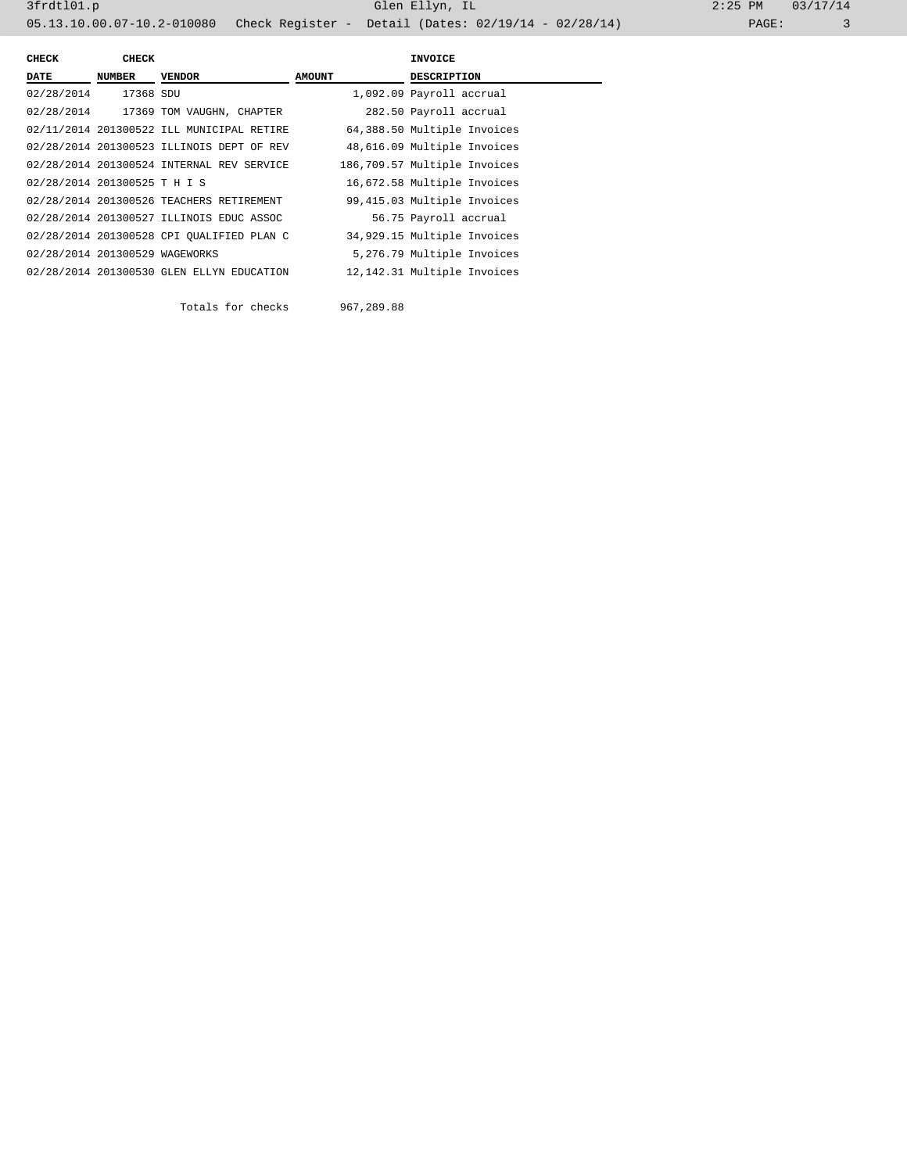| <b>CHECK</b>                   | <b>CHECK</b> |                                           |               | <b>INVOICE</b>               |
|--------------------------------|--------------|-------------------------------------------|---------------|------------------------------|
| <b>DATE</b>                    | NUMBER       | <b>VENDOR</b>                             | <b>AMOUNT</b> | <b>DESCRIPTION</b>           |
| 02/28/2014                     | 17368 SDU    |                                           |               | 1,092.09 Payroll accrual     |
|                                |              | 02/28/2014 17369 TOM VAUGHN, CHAPTER      |               | 282.50 Payroll accrual       |
|                                |              | 02/11/2014 201300522 ILL MUNICIPAL RETIRE |               | 64,388.50 Multiple Invoices  |
|                                |              | 02/28/2014 201300523 ILLINOIS DEPT OF REV |               | 48,616.09 Multiple Invoices  |
|                                |              | 02/28/2014 201300524 INTERNAL REV SERVICE |               | 186,709.57 Multiple Invoices |
| 02/28/2014 201300525 T H I S   |              |                                           |               | 16,672.58 Multiple Invoices  |
|                                |              | 02/28/2014 201300526 TEACHERS RETIREMENT  |               | 99,415.03 Multiple Invoices  |
|                                |              | 02/28/2014 201300527 ILLINOIS EDUC ASSOC  |               | 56.75 Payroll accrual        |
|                                |              | 02/28/2014 201300528 CPI OUALIFIED PLAN C |               | 34,929.15 Multiple Invoices  |
| 02/28/2014 201300529 WAGEWORKS |              |                                           |               | 5,276.79 Multiple Invoices   |
|                                |              | 02/28/2014 201300530 GLEN ELLYN EDUCATION |               | 12,142.31 Multiple Invoices  |
|                                |              |                                           |               |                              |

Totals for checks 967,289.88